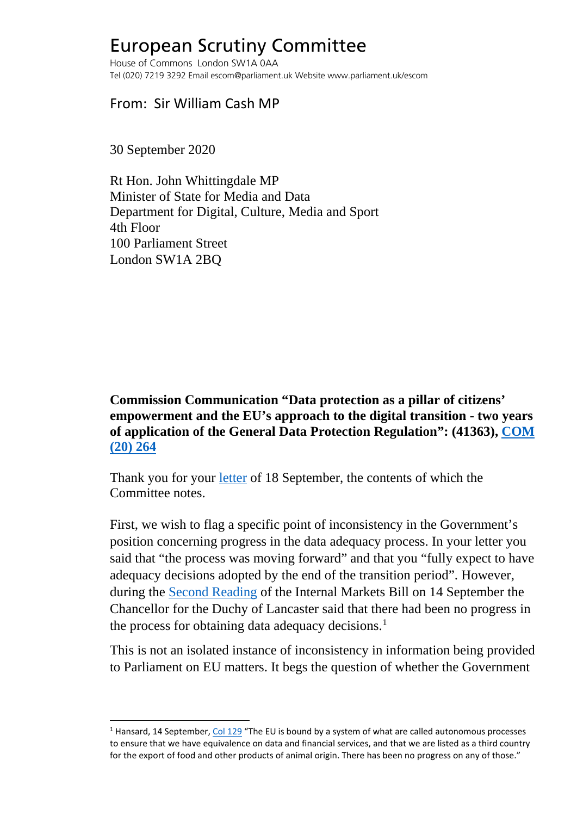## European Scrutiny Committee

House of Commons London SW1A 0AA Tel (020) 7219 3292 Email escom@parliament.uk Website www.parliament.uk/escom

From: Sir William Cash MP

30 September 2020

Rt Hon. John Whittingdale MP Minister of State for Media and Data Department for Digital, Culture, Media and Sport 4th Floor 100 Parliament Street London SW1A 2BQ

## **Commission Communication "Data protection as a pillar of citizens' empowerment and the EU's approach to the digital transition - two years of application of the General Data Protection Regulation": (41363), [COM](https://ec.europa.eu/info/sites/info/files/1_en_act_part1_v6_1.pdf)  [\(20\) 264](https://ec.europa.eu/info/sites/info/files/1_en_act_part1_v6_1.pdf)**

Thank you for your [letter](http://europeanmemoranda.cabinetoffice.gov.uk/files/2020/09/eCase_19705_-_Cash.pdf) of 18 September, the contents of which the Committee notes.

First, we wish to flag a specific point of inconsistency in the Government's position concerning progress in the data adequacy process. In your letter you said that "the process was moving forward" and that you "fully expect to have adequacy decisions adopted by the end of the transition period". However, during the [Second Reading](https://hansard.parliament.uk/commons/2020-09-14/debates/83A18A5B-75DE-4843-9C64-FAD20602C884/UnitedKingdomInternalMarketBill) of the Internal Markets Bill on 14 September the Chancellor for the Duchy of Lancaster said that there had been no progress in the process for obtaining data adequacy decisions. [1](#page-0-0)

This is not an isolated instance of inconsistency in information being provided to Parliament on EU matters. It begs the question of whether the Government

<span id="page-0-0"></span> $1$  Hansard, 14 September[, Col 129](https://hansard.parliament.uk/commons/2020-09-14/debates/83A18A5B-75DE-4843-9C64-FAD20602C884/UnitedKingdomInternalMarketBill) "The EU is bound by a system of what are called autonomous processes to ensure that we have equivalence on data and financial services, and that we are listed as a third country for the export of food and other products of animal origin. There has been no progress on any of those."